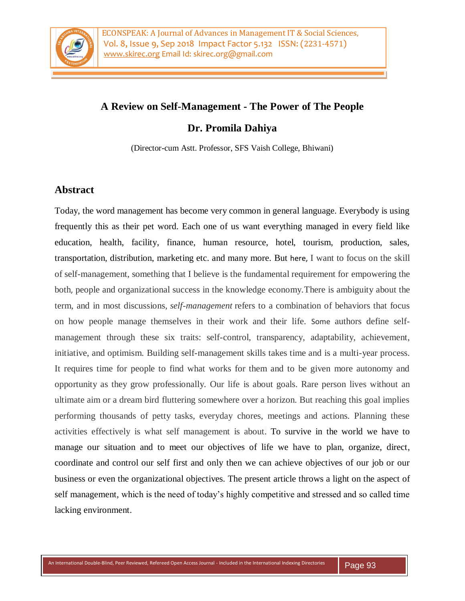

## **A Review on Self-Management - The Power of The People**

## **Dr. Promila Dahiya**

(Director-cum Astt. Professor, SFS Vaish College, Bhiwani)

## **Abstract**

Today, the word management has become very common in general language. Everybody is using frequently this as their pet word. Each one of us want everything managed in every field like education, health, facility, finance, human resource, hotel, tourism, production, sales, transportation, distribution, marketing etc. and many more. But here, I want to focus on the skill of self-management, something that I believe is the fundamental requirement for empowering the both, people and organizational success in the knowledge economy.There is ambiguity about the term, and in most discussions, *self-management* refers to a combination of behaviors that focus on how people manage themselves in their work and their life. Some authors define selfmanagement through these six traits: self-control, transparency, adaptability, achievement, initiative, and optimism. Building self-management skills takes time and is a multi-year process. It requires time for people to find what works for them and to be given more autonomy and opportunity as they grow professionally. Our life is about goals. Rare person lives without an ultimate aim or a dream bird fluttering somewhere over a horizon. But reaching this goal implies performing thousands of petty tasks, everyday chores, meetings and actions. Planning these activities effectively is what self management is about. To survive in the world we have to manage our situation and to meet our objectives of life we have to plan, organize, direct, coordinate and control our self first and only then we can achieve objectives of our job or our business or even the organizational objectives. The present article throws a light on the aspect of self management, which is the need of today's highly competitive and stressed and so called time lacking environment.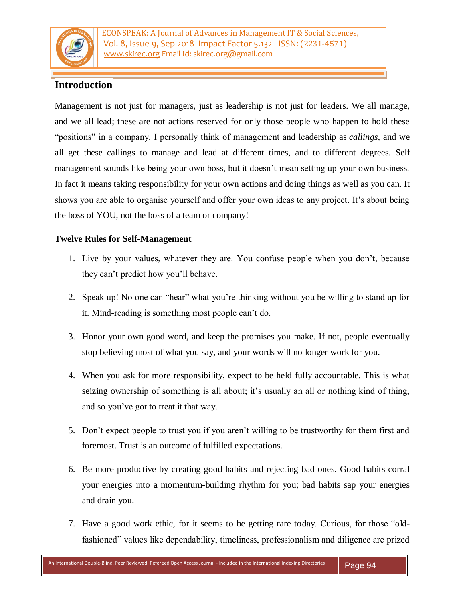

ECONSPEAK: A Journal of Advances in Management IT & Social Sciences, Vol. 8, Issue 9, Sep 2018 Impact Factor 5.132 ISSN: (2231-4571) www.skirec.org Email Id: skirec.org@gmail.com

# **Introduction**

Management is not just for managers, just as leadership is not just for leaders. We all manage, and we all lead; these are not actions reserved for only those people who happen to hold these "positions" in a company. I personally think of management and leadership as *callings*, and we all get these callings to manage and lead at different times, and to different degrees. Self management sounds like being your own boss, but it doesn't mean setting up your own business. In fact it means taking responsibility for your own actions and doing things as well as you can. It shows you are able to organise yourself and offer your own ideas to any project. It's about being the boss of YOU, not the boss of a team or company!

### **Twelve Rules for Self-Management**

- 1. Live by your values, whatever they are. You confuse people when you don't, because they can't predict how you'll behave.
- 2. Speak up! No one can "hear" what you're thinking without you be willing to stand up for it. Mind-reading is something most people can't do.
- 3. Honor your own good word, and keep the promises you make. If not, people eventually stop believing most of what you say, and your words will no longer work for you.
- 4. When you ask for more responsibility, expect to be held fully accountable. This is what seizing ownership of something is all about; it's usually an all or nothing kind of thing, and so you've got to treat it that way.
- 5. Don't expect people to trust you if you aren't willing to be trustworthy for them first and foremost. Trust is an outcome of fulfilled expectations.
- 6. Be more productive by creating good habits and rejecting bad ones. Good habits corral your energies into a momentum-building rhythm for you; bad habits sap your energies and drain you.
- 7. Have a good work ethic, for it seems to be getting rare today. Curious, for those "oldfashioned" values like dependability, timeliness, professionalism and diligence are prized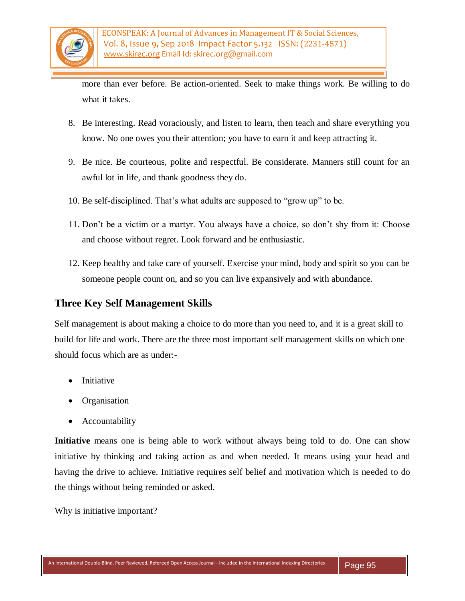

more than ever before. Be action-oriented. Seek to make things work. Be willing to do what it takes.

- 8. Be interesting. Read voraciously, and listen to learn, then teach and share everything you know. No one owes you their attention; you have to earn it and keep attracting it.
- 9. Be nice. Be courteous, polite and respectful. Be considerate. Manners still count for an awful lot in life, and thank goodness they do.
- 10. Be self-disciplined. That's what adults are supposed to "grow up" to be.
- 11. Don't be a victim or a martyr. You always have a choice, so don't shy from it: Choose and choose without regret. Look forward and be enthusiastic.
- 12. Keep healthy and take care of yourself. Exercise your mind, body and spirit so you can be someone people count on, and so you can live expansively and with abundance.

## **Three Key Self Management Skills**

Self management is about making a choice to do more than you need to, and it is a great skill to build for life and work. There are the three most important self management skills on which one should focus which are as under:-

- Initiative
- Organisation
- Accountability

**Initiative** means one is being able to work without always being told to do. One can show initiative by thinking and taking action as and when needed. It means using your head and having the drive to achieve. Initiative requires self belief and motivation which is needed to do the things without being reminded or asked.

Why is initiative important?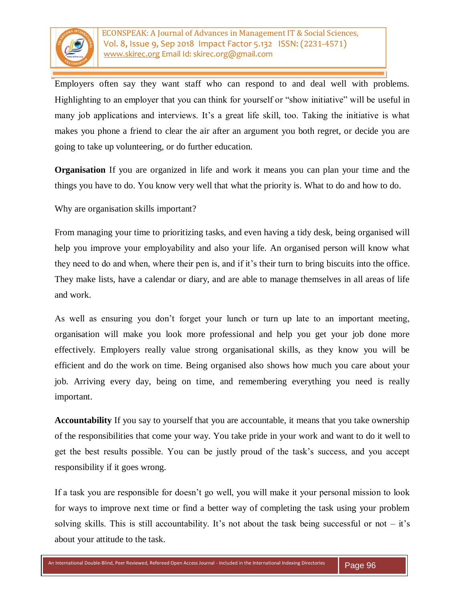

Employers often say they want staff who can respond to and deal well with problems. Highlighting to an employer that you can think for yourself or "show initiative" will be useful in many job applications and interviews. It's a great life skill, too. Taking the initiative is what makes you phone a friend to clear the air after an argument you both regret, or decide you are going to take up volunteering, or do further education.

**Organisation** If you are organized in life and work it means you can plan your time and the things you have to do. You know very well that what the priority is. What to do and how to do.

Why are organisation skills important?

From managing your time to prioritizing tasks, and even having a tidy desk, being organised will help you improve your employability and also your life. An organised person will know what they need to do and when, where their pen is, and if it's their turn to bring biscuits into the office. They make lists, have a calendar or diary, and are able to manage themselves in all areas of life and work.

As well as ensuring you don't forget your lunch or turn up late to an important meeting, organisation will make you look more professional and help you get your job done more effectively. Employers really value strong organisational skills, as they know you will be efficient and do the work on time. Being organised also shows how much you care about your job. Arriving every day, being on time, and remembering everything you need is really important.

**Accountability** If you say to yourself that you are accountable, it means that you take ownership of the responsibilities that come your way. You take pride in your work and want to do it well to get the best results possible. You can be justly proud of the task's success, and you accept responsibility if it goes wrong.

If a task you are responsible for doesn't go well, you will make it your personal mission to look for ways to improve next time or find a better way of completing the task using your problem solving skills. This is still accountability. It's not about the task being successful or not  $-$  it's about your attitude to the task.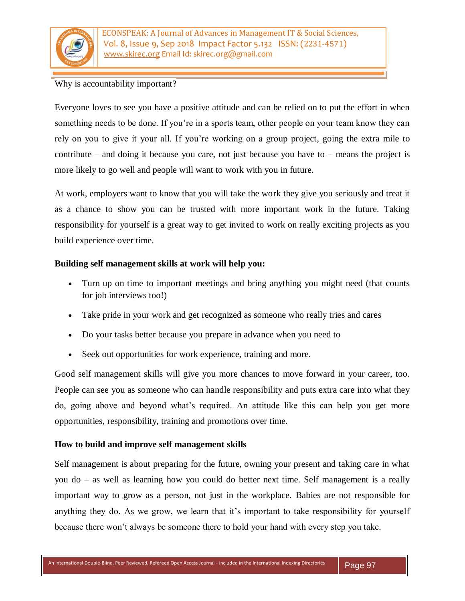

ECONSPEAK: A Journal of Advances in Management IT & Social Sciences, Vol. 8, Issue 9, Sep 2018 Impact Factor 5.132 ISSN: (2231-4571) www.skirec.org Email Id: skirec.org@gmail.com

### Why is accountability important?

Everyone loves to see you have a positive attitude and can be relied on to put the effort in when something needs to be done. If you're in a sports team, other people on your team know they can rely on you to give it your all. If you're working on a group project, going the extra mile to contribute – and doing it because you care, not just because you have to – means the project is more likely to go well and people will want to work with you in future.

At work, employers want to know that you will take the work they give you seriously and treat it as a chance to show you can be trusted with more important work in the future. Taking responsibility for yourself is a great way to get invited to work on really exciting projects as you build experience over time.

#### **Building self management skills at work will help you:**

- Turn up on time to important meetings and bring anything you might need (that counts for job interviews too!)
- Take pride in your work and get recognized as someone who really tries and cares
- Do your tasks better because you prepare in advance when you need to
- Seek out opportunities for work experience, training and more.

Good self management skills will give you more chances to move forward in your career, too. People can see you as someone who can handle responsibility and puts extra care into what they do, going above and beyond what's required. An attitude like this can help you get more opportunities, responsibility, training and promotions over time.

### **How to build and improve self management skills**

Self management is about preparing for the future, owning your present and taking care in what you do – as well as learning how you could do better next time. Self management is a really important way to grow as a person, not just in the workplace. Babies are not responsible for anything they do. As we grow, we learn that it's important to take responsibility for yourself because there won't always be someone there to hold your hand with every step you take.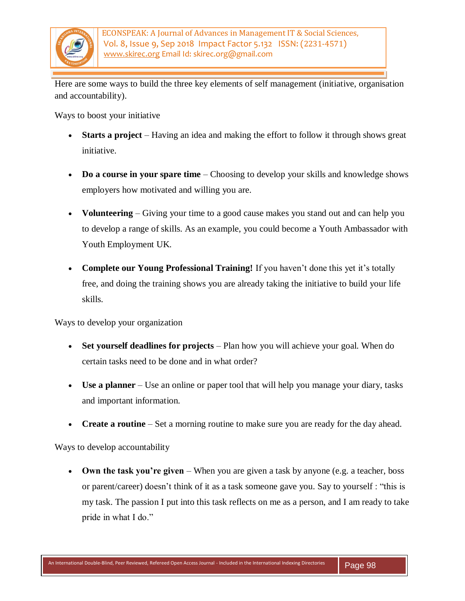

Here are some ways to build the three key elements of self management (initiative, organisation and accountability).

Ways to boost your initiative

- **Starts a project** Having an idea and making the effort to follow it through shows great initiative.
- **Do a course in your spare time** Choosing to develop your skills and knowledge shows employers how motivated and willing you are.
- **Volunteering** Giving your time to a good cause makes you stand out and can help you to develop a range of skills. As an example, you could become a Youth Ambassador with Youth Employment UK.
- **Complete our Young Professional Training!** If you haven't done this yet it's totally free, and doing the training shows you are already taking the initiative to build your life skills.

Ways to develop your organization

- **Set yourself deadlines for projects** Plan how you will achieve your goal. When do certain tasks need to be done and in what order?
- **Use a planner** Use an online or paper tool that will help you manage your diary, tasks and important information.
- **Create a routine** Set a morning routine to make sure you are ready for the day ahead.

Ways to develop accountability

 **Own the task you're given** – When you are given a task by anyone (e.g. a teacher, boss or parent/career) doesn't think of it as a task someone gave you. Say to yourself : "this is my task. The passion I put into this task reflects on me as a person, and I am ready to take pride in what I do."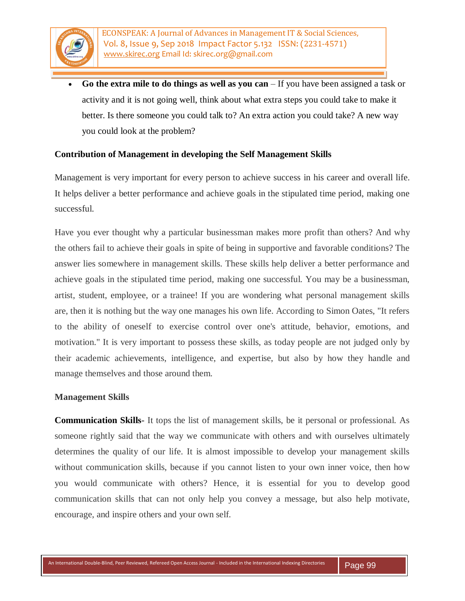

 **Go the extra mile to do things as well as you can** – If you have been assigned a task or activity and it is not going well, think about what extra steps you could take to make it better. Is there someone you could talk to? An extra action you could take? A new way you could look at the problem?

#### **Contribution of Management in developing the Self Management Skills**

Management is very important for every person to achieve success in his career and overall life. It helps deliver a better performance and achieve goals in the stipulated time period, making one successful.

Have you ever thought why a particular businessman makes more profit than others? And why the others fail to achieve their goals in spite of being in supportive and favorable conditions? The answer lies somewhere in management skills. These skills help deliver a better performance and achieve goals in the stipulated time period, making one successful. You may be a businessman, artist, student, employee, or a trainee! If you are wondering what personal management skills are, then it is nothing but the way one manages his own life. According to Simon Oates, "It refers to the ability of oneself to exercise control over one's attitude, behavior, emotions, and motivation." It is very important to possess these skills, as today people are not judged only by their academic achievements, intelligence, and expertise, but also by how they handle and manage themselves and those around them.

#### **Management Skills**

**Communication Skills**- It tops the list of management skills, be it personal or professional. As someone rightly said that the way we communicate with others and with ourselves ultimately determines the quality of our life. It is almost impossible to develop your management skills without communication skills, because if you cannot listen to your own inner voice, then how you would communicate with others? Hence, it is essential for you to develop good communication skills that can not only help you convey a message, but also help motivate, encourage, and inspire others and your own self.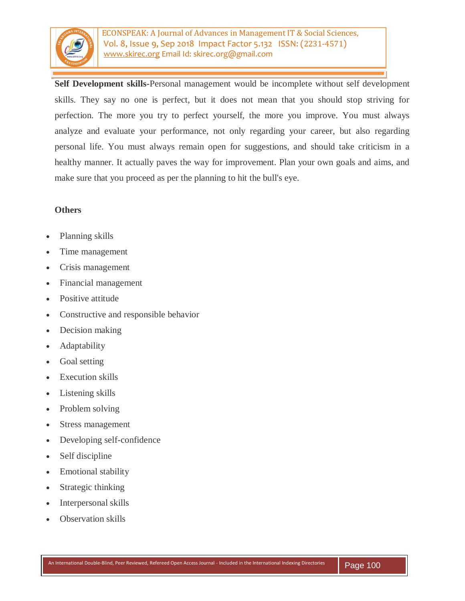

ECONSPEAK: A Journal of Advances in Management IT & Social Sciences, Vol. 8, Issue 9, Sep 2018 Impact Factor 5.132 ISSN: (2231-4571) www.skirec.org Email Id: skirec.org@gmail.com

**Self Development skills-**Personal management would be incomplete without self development skills. They say no one is perfect, but it does not mean that you should stop striving for perfection. The more you try to perfect yourself, the more you improve. You must always analyze and evaluate your performance, not only regarding your career, but also regarding personal life. You must always remain open for suggestions, and should take criticism in a healthy manner. It actually paves the way for improvement. Plan your own goals and aims, and make sure that you proceed as per the planning to hit the bull's eye.

#### **Others**

- Planning skills
- Time management
- Crisis management
- Financial management
- Positive attitude
- Constructive and responsible behavior
- Decision making
- Adaptability
- Goal setting
- Execution skills
- Listening skills
- Problem solving
- Stress management
- Developing self-confidence
- Self discipline
- Emotional stability
- Strategic thinking
- Interpersonal skills
- Observation skills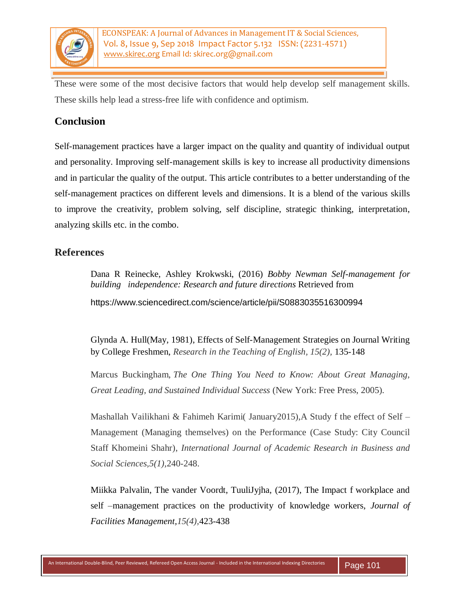

These were some of the most decisive factors that would help develop self management skills. These skills help lead a stress-free life with confidence and optimism.

## **Conclusion**

Self-management practices have a larger impact on the quality and quantity of individual output and personality. Improving self-management skills is key to increase all productivity dimensions and in particular the quality of the output. This article contributes to a better understanding of the self-management practices on different levels and dimensions. It is a blend of the various skills to improve the creativity, problem solving, self discipline, strategic thinking, interpretation, analyzing skills etc. in the combo.

### **References**

Dana R Reinecke, Ashley Krokwski, (2016) *Bobby Newman Self-management for building independence: Research and future directions* Retrieved from

https://www.sciencedirect.com/science/article/pii/S0883035516300994

Glynda A. Hull(May, 1981), Effects of Self-Management Strategies on Journal Writing by College Freshmen, *Research in the Teaching of English, 15(2),* 135-148

Marcus Buckingham, *The One Thing You Need to Know: About Great Managing, Great Leading, and Sustained Individual Success* (New York: Free Press, 2005).

Mashallah Vailikhani & Fahimeh Karimi( January2015),A Study f the effect of Self – Management (Managing themselves) on the Performance (Case Study: City Council Staff Khomeini Shahr), *International Journal of Academic Research in Business and Social Sciences,5(1),*240-248.

Miikka Palvalin, The vander Voordt, TuuliJyjha, (2017), The Impact f workplace and self –management practices on the productivity of knowledge workers, *Journal of Facilities Management,15(4),*423-438